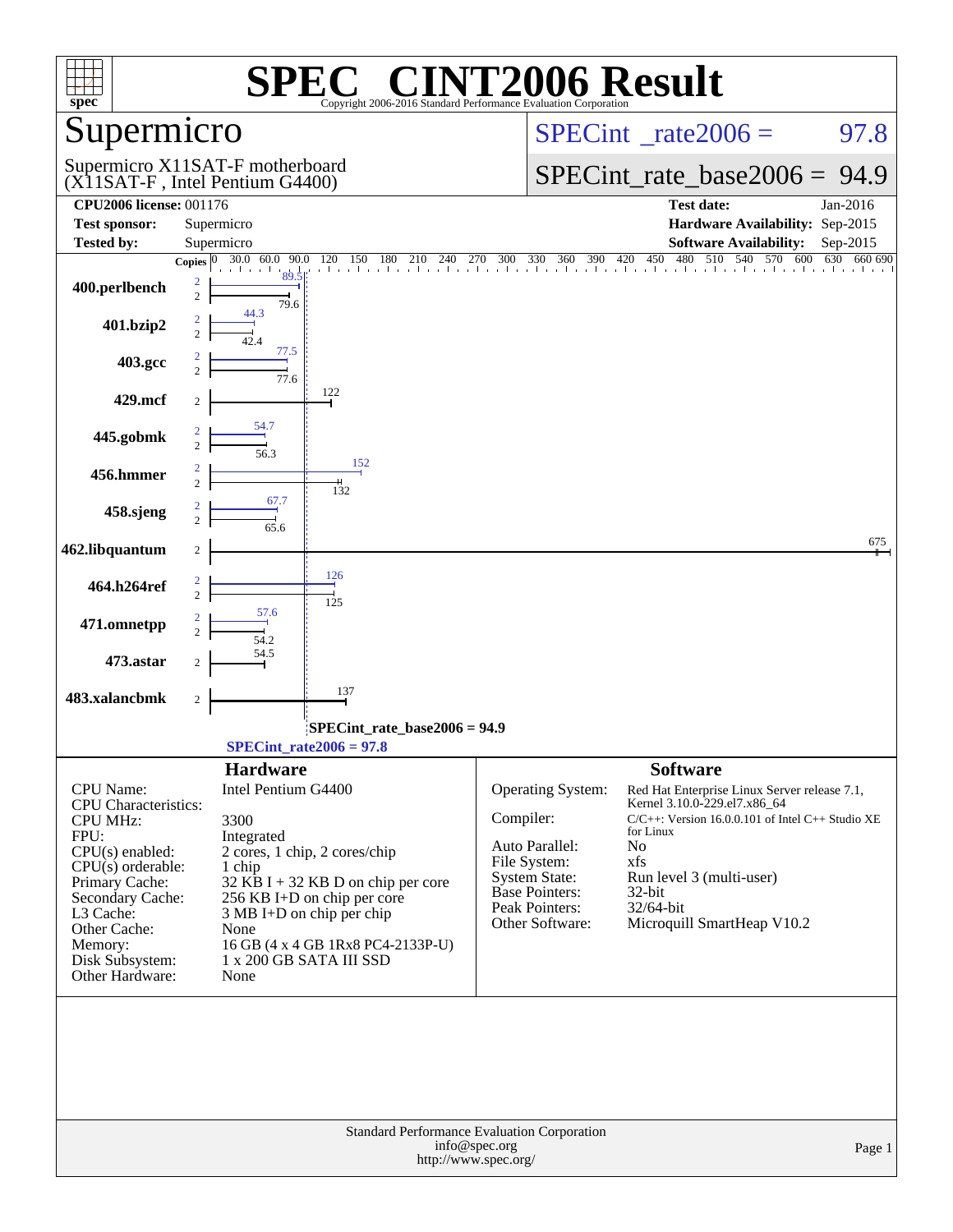| spec®                                                                                                                                                                                                                  |                                                                                                                                                                                                                                                   | Copyright 2006-2016 Standard Performance Evaluation Corporation                                                                   | C <sup>®</sup> CINT2006 Result                                                                                                                                                                      |
|------------------------------------------------------------------------------------------------------------------------------------------------------------------------------------------------------------------------|---------------------------------------------------------------------------------------------------------------------------------------------------------------------------------------------------------------------------------------------------|-----------------------------------------------------------------------------------------------------------------------------------|-----------------------------------------------------------------------------------------------------------------------------------------------------------------------------------------------------|
| Supermicro                                                                                                                                                                                                             |                                                                                                                                                                                                                                                   |                                                                                                                                   | $SPECint^{\circ}$ <sub>_rate2006</sub> =<br>97.8                                                                                                                                                    |
|                                                                                                                                                                                                                        | Supermicro X11SAT-F motherboard<br>(X11SAT-F, Intel Pentium G4400)                                                                                                                                                                                |                                                                                                                                   | $SPECint_rate\_base2006 =$<br>94.9                                                                                                                                                                  |
| <b>CPU2006 license: 001176</b><br><b>Test sponsor:</b>                                                                                                                                                                 | Supermicro                                                                                                                                                                                                                                        |                                                                                                                                   | <b>Test date:</b><br>Jan-2016<br>Hardware Availability: Sep-2015                                                                                                                                    |
| <b>Tested by:</b>                                                                                                                                                                                                      | Supermicro                                                                                                                                                                                                                                        |                                                                                                                                   | <b>Software Availability:</b><br>Sep-2015                                                                                                                                                           |
| 400.perlbench<br>401.bzip2                                                                                                                                                                                             | $30.0 \quad 60.0$<br>90.0<br>Copies $ 0\rangle$<br>$\overline{c}$<br>79.6<br>44.3                                                                                                                                                                 |                                                                                                                                   | $120$ 150 180 210 240 270 300 330 360 390 420 450 480 510 540 570 600 630<br>660 690                                                                                                                |
| 403.gcc                                                                                                                                                                                                                | 77.5<br>$\frac{1}{77.6}$                                                                                                                                                                                                                          |                                                                                                                                   |                                                                                                                                                                                                     |
| 429.mcf                                                                                                                                                                                                                | 122<br>2                                                                                                                                                                                                                                          |                                                                                                                                   |                                                                                                                                                                                                     |
| 445.gobmk                                                                                                                                                                                                              | 54.7                                                                                                                                                                                                                                              |                                                                                                                                   |                                                                                                                                                                                                     |
| 456.hmmer                                                                                                                                                                                                              | 152<br>132                                                                                                                                                                                                                                        |                                                                                                                                   |                                                                                                                                                                                                     |
| 458.sjeng                                                                                                                                                                                                              | 67.7                                                                                                                                                                                                                                              |                                                                                                                                   |                                                                                                                                                                                                     |
| 462.libquantum                                                                                                                                                                                                         | 2<br>126                                                                                                                                                                                                                                          |                                                                                                                                   | 675                                                                                                                                                                                                 |
| 464.h264ref                                                                                                                                                                                                            | 125<br>57.6                                                                                                                                                                                                                                       |                                                                                                                                   |                                                                                                                                                                                                     |
| 471.omnetpp                                                                                                                                                                                                            |                                                                                                                                                                                                                                                   |                                                                                                                                   |                                                                                                                                                                                                     |
| 473.astar<br>483.xalancbmk                                                                                                                                                                                             | 137<br>$\boldsymbol{2}$                                                                                                                                                                                                                           |                                                                                                                                   |                                                                                                                                                                                                     |
|                                                                                                                                                                                                                        |                                                                                                                                                                                                                                                   | SPECint rate base $2006 = 94.9$                                                                                                   |                                                                                                                                                                                                     |
|                                                                                                                                                                                                                        | $SPECint_rate2006 = 97.8$                                                                                                                                                                                                                         |                                                                                                                                   |                                                                                                                                                                                                     |
| <b>CPU</b> Name:                                                                                                                                                                                                       | <b>Hardware</b><br>Intel Pentium G4400                                                                                                                                                                                                            | Operating System:                                                                                                                 | <b>Software</b><br>Red Hat Enterprise Linux Server release 7.1,                                                                                                                                     |
| <b>CPU</b> Characteristics:<br><b>CPU MHz:</b><br>FPU:<br>$CPU(s)$ enabled:<br>$CPU(s)$ orderable:<br>Primary Cache:<br>Secondary Cache:<br>L3 Cache:<br>Other Cache:<br>Memory:<br>Disk Subsystem:<br>Other Hardware: | 3300<br>Integrated<br>2 cores, 1 chip, 2 cores/chip<br>1 chip<br>$32$ KB I + 32 KB D on chip per core<br>256 KB I+D on chip per core<br>3 MB I+D on chip per chip<br>None<br>16 GB (4 x 4 GB 1Rx8 PC4-2133P-U)<br>1 x 200 GB SATA III SSD<br>None | Compiler:<br>Auto Parallel:<br>File System:<br><b>System State:</b><br><b>Base Pointers:</b><br>Peak Pointers:<br>Other Software: | Kernel 3.10.0-229.el7.x86_64<br>$C/C++$ : Version 16.0.0.101 of Intel $C++$ Studio XE<br>for Linux<br>No<br>xfs<br>Run level 3 (multi-user)<br>$32$ -bit<br>32/64-bit<br>Microquill SmartHeap V10.2 |
|                                                                                                                                                                                                                        |                                                                                                                                                                                                                                                   | Standard Performance Evaluation Corporation<br>info@spec.org                                                                      | Page 1                                                                                                                                                                                              |
|                                                                                                                                                                                                                        |                                                                                                                                                                                                                                                   | http://www.spec.org/                                                                                                              |                                                                                                                                                                                                     |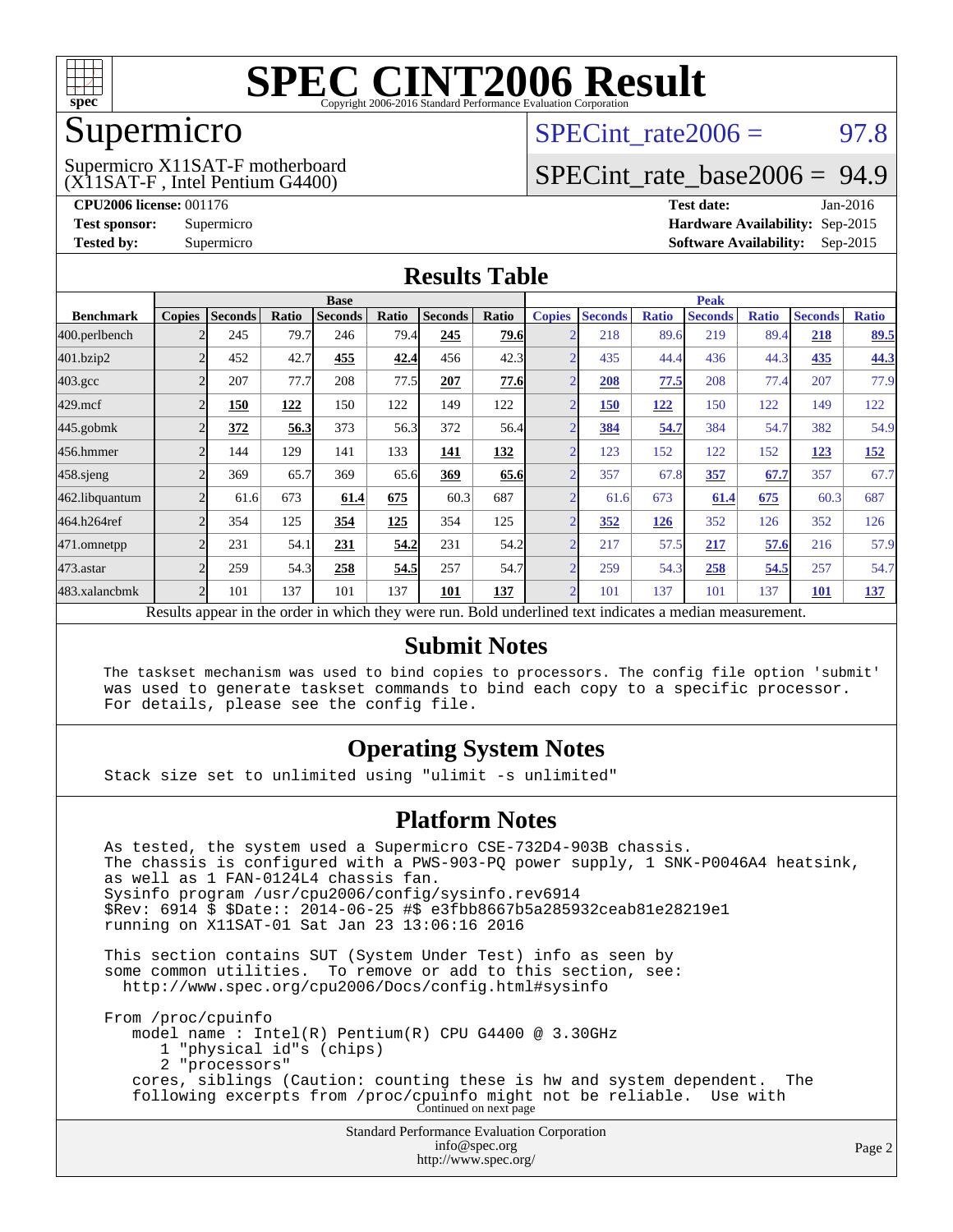

### Supermicro

(X11SAT-F , Intel Pentium G4400) Supermicro X11SAT-F motherboard SPECint rate $2006 = 97.8$ 

### [SPECint\\_rate\\_base2006 =](http://www.spec.org/auto/cpu2006/Docs/result-fields.html#SPECintratebase2006) 94.9

**[CPU2006 license:](http://www.spec.org/auto/cpu2006/Docs/result-fields.html#CPU2006license)** 001176 **[Test date:](http://www.spec.org/auto/cpu2006/Docs/result-fields.html#Testdate)** Jan-2016 **[Test sponsor:](http://www.spec.org/auto/cpu2006/Docs/result-fields.html#Testsponsor)** Supermicro **[Hardware Availability:](http://www.spec.org/auto/cpu2006/Docs/result-fields.html#HardwareAvailability)** Sep-2015 **[Tested by:](http://www.spec.org/auto/cpu2006/Docs/result-fields.html#Testedby)** Supermicro **Supermicro [Software Availability:](http://www.spec.org/auto/cpu2006/Docs/result-fields.html#SoftwareAvailability)** Sep-2015

### **[Results Table](http://www.spec.org/auto/cpu2006/Docs/result-fields.html#ResultsTable)**

|                                                                                                          | <b>Base</b>              |                |       |                | <b>Peak</b> |                |             |                |                |              |                |              |                |              |
|----------------------------------------------------------------------------------------------------------|--------------------------|----------------|-------|----------------|-------------|----------------|-------------|----------------|----------------|--------------|----------------|--------------|----------------|--------------|
| <b>Benchmark</b>                                                                                         | <b>Copies</b>            | <b>Seconds</b> | Ratio | <b>Seconds</b> | Ratio       | <b>Seconds</b> | Ratio       | <b>Copies</b>  | <b>Seconds</b> | <b>Ratio</b> | <b>Seconds</b> | <b>Ratio</b> | <b>Seconds</b> | <b>Ratio</b> |
| 400.perlbench                                                                                            |                          | 245            | 79.7  | 246            | 79.4        | 245            | <b>79.6</b> | $\overline{2}$ | 218            | 89.6         | 219            | 89.4         | 218            | <u>89.5</u>  |
| 401.bzip2                                                                                                |                          | 452            | 42.7  | 455            | 42.4        | 456            | 42.3        | $\overline{2}$ | 435            | 44.4         | 436            | 44.3         | <u>435</u>     | 44.3         |
| $403.\mathrm{gcc}$                                                                                       |                          | 207            | 77.7  | 208            | 77.5        | 207            | 77.6        | $\overline{2}$ | 208            | 77.5         | 208            | 77.4         | 207            | 77.9         |
| $429$ .mcf                                                                                               |                          | 150            | 122   | 150            | 122         | 149            | 122         | $\overline{2}$ | 150            | <u>122</u>   | 150            | 122          | 149            | 122          |
| $445$ .gobm $k$                                                                                          |                          | 372            | 56.3  | 373            | 56.3        | 372            | 56.4        | $\overline{2}$ | 384            | 54.7         | 384            | 54.7         | 382            | 54.9         |
| 456.hmmer                                                                                                |                          | 144            | 129   | 141            | 133         | 141            | 132         | $\overline{2}$ | 123            | 152          | 122            | 152          | 123            | <u>152</u>   |
| 458.sjeng                                                                                                |                          | 369            | 65.7  | 369            | 65.6        | 369            | 65.6        | $\overline{2}$ | 357            | 67.8         | 357            | 67.7         | 357            | 67.7         |
| 462.libquantum                                                                                           |                          | 61.6           | 673   | 61.4           | 675         | 60.3           | 687         | $\overline{2}$ | 61.6           | 673          | 61.4           | 675          | 60.3           | 687          |
| 464.h264ref                                                                                              |                          | 354            | 125   | 354            | 125         | 354            | 125         | $\overline{2}$ | 352            | 126          | 352            | 126          | 352            | 126          |
| 471.omnetpp                                                                                              |                          | 231            | 54.1  | 231            | 54.2        | 231            | 54.2        | $\overline{2}$ | 217            | 57.5         | 217            | 57.6         | 216            | 57.9         |
| $473$ . astar                                                                                            | $\overline{\mathcal{L}}$ | 259            | 54.3  | 258            | 54.5        | 257            | 54.7        | $\overline{2}$ | 259            | 54.3         | 258            | 54.5         | 257            | 54.7         |
| 483.xalancbmk                                                                                            | $\mathcal{D}$            | 101            | 137   | 101            | 137         | 101            | 137         | $\overline{2}$ | 101            | 137          | 101            | 137          | <b>101</b>     | 137          |
| Results appear in the order in which they were run. Bold underlined text indicates a median measurement. |                          |                |       |                |             |                |             |                |                |              |                |              |                |              |

#### **[Submit Notes](http://www.spec.org/auto/cpu2006/Docs/result-fields.html#SubmitNotes)**

 The taskset mechanism was used to bind copies to processors. The config file option 'submit' was used to generate taskset commands to bind each copy to a specific processor. For details, please see the config file.

### **[Operating System Notes](http://www.spec.org/auto/cpu2006/Docs/result-fields.html#OperatingSystemNotes)**

Stack size set to unlimited using "ulimit -s unlimited"

#### **[Platform Notes](http://www.spec.org/auto/cpu2006/Docs/result-fields.html#PlatformNotes)**

Standard Performance Evaluation Corporation As tested, the system used a Supermicro CSE-732D4-903B chassis. The chassis is configured with a PWS-903-PQ power supply, 1 SNK-P0046A4 heatsink, as well as 1 FAN-0124L4 chassis fan. Sysinfo program /usr/cpu2006/config/sysinfo.rev6914 \$Rev: 6914 \$ \$Date:: 2014-06-25 #\$ e3fbb8667b5a285932ceab81e28219e1 running on X11SAT-01 Sat Jan 23 13:06:16 2016 This section contains SUT (System Under Test) info as seen by some common utilities. To remove or add to this section, see: <http://www.spec.org/cpu2006/Docs/config.html#sysinfo> From /proc/cpuinfo model name : Intel(R) Pentium(R) CPU G4400 @ 3.30GHz 1 "physical id"s (chips) 2 "processors" cores, siblings (Caution: counting these is hw and system dependent. The following excerpts from /proc/cpuinfo might not be reliable. Use with Continued on next page

> [info@spec.org](mailto:info@spec.org) <http://www.spec.org/>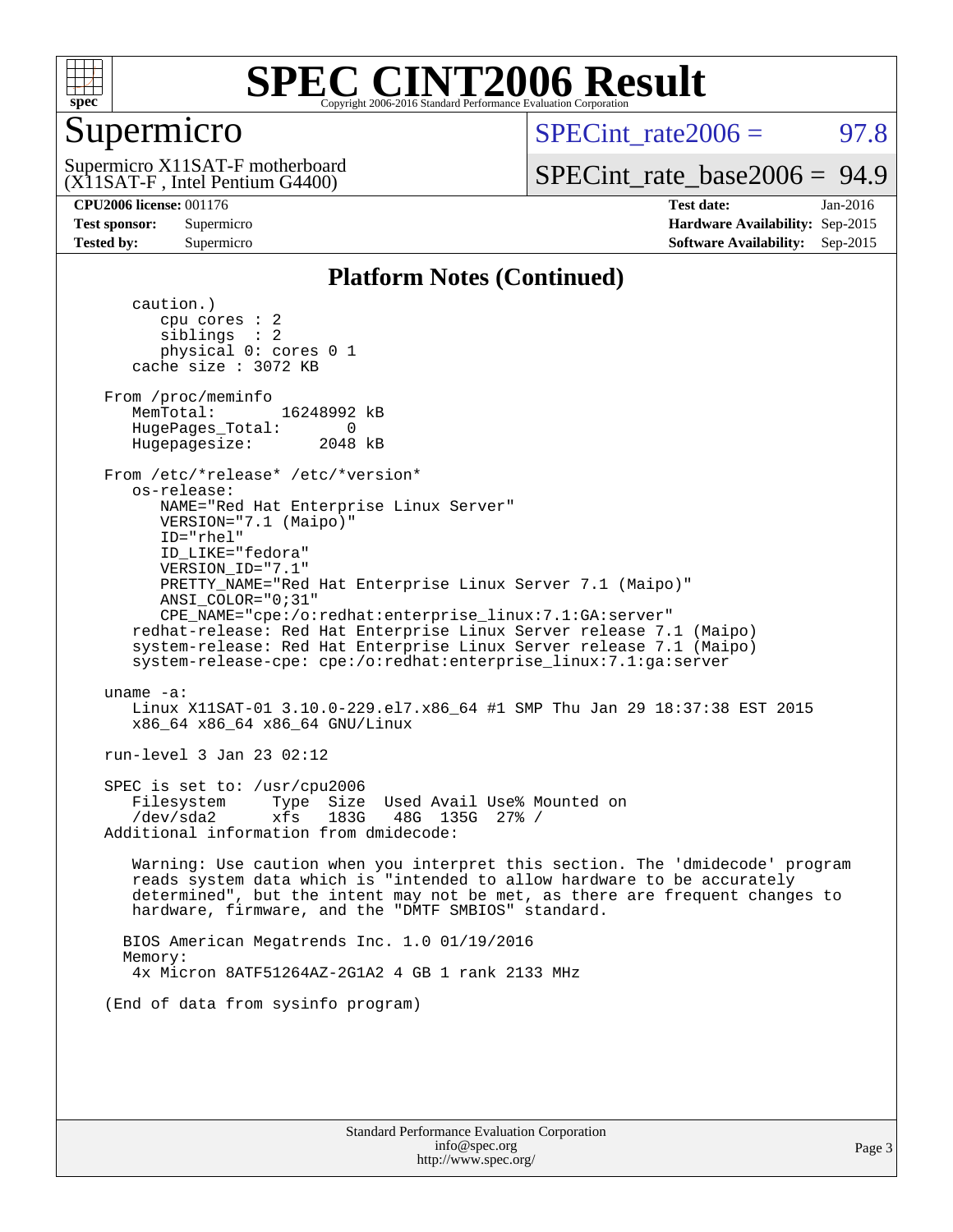

### Supermicro

SPECint rate $2006 = 97.8$ 

(X11SAT-F , Intel Pentium G4400) Supermicro X11SAT-F motherboard

[SPECint\\_rate\\_base2006 =](http://www.spec.org/auto/cpu2006/Docs/result-fields.html#SPECintratebase2006) 94.9

**[CPU2006 license:](http://www.spec.org/auto/cpu2006/Docs/result-fields.html#CPU2006license)** 001176 **[Test date:](http://www.spec.org/auto/cpu2006/Docs/result-fields.html#Testdate)** Jan-2016 **[Test sponsor:](http://www.spec.org/auto/cpu2006/Docs/result-fields.html#Testsponsor)** Supermicro **[Hardware Availability:](http://www.spec.org/auto/cpu2006/Docs/result-fields.html#HardwareAvailability)** Sep-2015 **[Tested by:](http://www.spec.org/auto/cpu2006/Docs/result-fields.html#Testedby)** Supermicro **Supermicro [Software Availability:](http://www.spec.org/auto/cpu2006/Docs/result-fields.html#SoftwareAvailability)** Sep-2015

### **[Platform Notes \(Continued\)](http://www.spec.org/auto/cpu2006/Docs/result-fields.html#PlatformNotes)**

 caution.) cpu cores : 2 siblings : 2 physical 0: cores 0 1 cache size : 3072 KB From /proc/meminfo MemTotal: 16248992 kB HugePages\_Total: 0<br>Hugepagesize: 2048 kB Hugepagesize: From /etc/\*release\* /etc/\*version\* os-release: NAME="Red Hat Enterprise Linux Server" VERSION="7.1 (Maipo)" ID="rhel" ID\_LIKE="fedora" VERSION\_ID="7.1" PRETTY\_NAME="Red Hat Enterprise Linux Server 7.1 (Maipo)" ANSI\_COLOR="0;31" CPE\_NAME="cpe:/o:redhat:enterprise\_linux:7.1:GA:server" redhat-release: Red Hat Enterprise Linux Server release 7.1 (Maipo) system-release: Red Hat Enterprise Linux Server release 7.1 (Maipo) system-release-cpe: cpe:/o:redhat:enterprise\_linux:7.1:ga:server uname -a: Linux X11SAT-01 3.10.0-229.el7.x86\_64 #1 SMP Thu Jan 29 18:37:38 EST 2015 x86\_64 x86\_64 x86\_64 GNU/Linux run-level 3 Jan 23 02:12 SPEC is set to: /usr/cpu2006 Filesystem Type Size Used Avail Use% Mounted on /dev/sda2 xfs 183G 48G 135G 27% / Additional information from dmidecode: Warning: Use caution when you interpret this section. The 'dmidecode' program reads system data which is "intended to allow hardware to be accurately determined", but the intent may not be met, as there are frequent changes to hardware, firmware, and the "DMTF SMBIOS" standard. BIOS American Megatrends Inc. 1.0 01/19/2016 Memory: 4x Micron 8ATF51264AZ-2G1A2 4 GB 1 rank 2133 MHz (End of data from sysinfo program)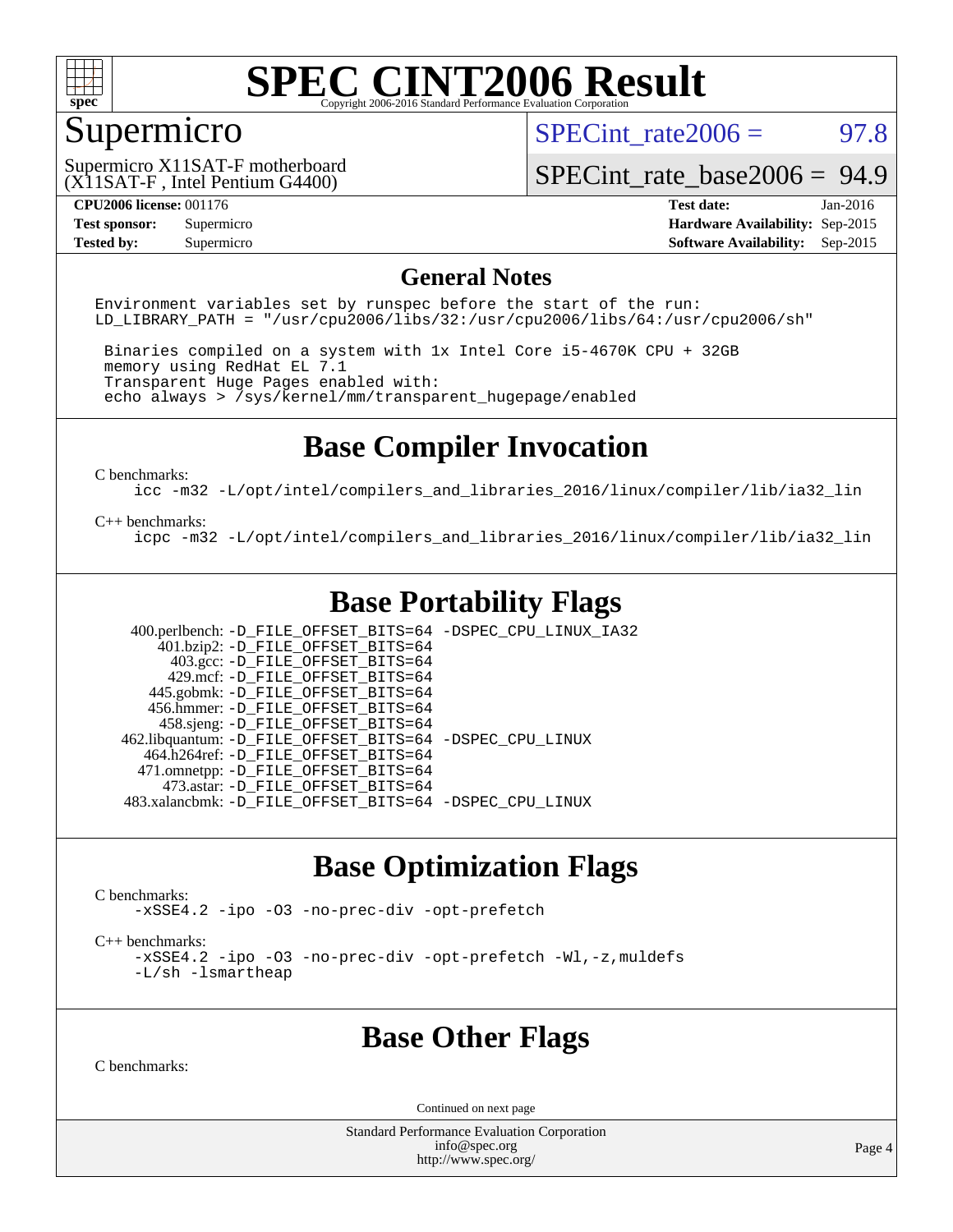

### Supermicro

SPECint rate $2006 = 97.8$ 

(X11SAT-F , Intel Pentium G4400) Supermicro X11SAT-F motherboard

[SPECint\\_rate\\_base2006 =](http://www.spec.org/auto/cpu2006/Docs/result-fields.html#SPECintratebase2006) 94.9

**[CPU2006 license:](http://www.spec.org/auto/cpu2006/Docs/result-fields.html#CPU2006license)** 001176 **[Test date:](http://www.spec.org/auto/cpu2006/Docs/result-fields.html#Testdate)** Jan-2016 **[Test sponsor:](http://www.spec.org/auto/cpu2006/Docs/result-fields.html#Testsponsor)** Supermicro **[Hardware Availability:](http://www.spec.org/auto/cpu2006/Docs/result-fields.html#HardwareAvailability)** Sep-2015 **[Tested by:](http://www.spec.org/auto/cpu2006/Docs/result-fields.html#Testedby)** Supermicro **Supermicro [Software Availability:](http://www.spec.org/auto/cpu2006/Docs/result-fields.html#SoftwareAvailability)** Sep-2015

### **[General Notes](http://www.spec.org/auto/cpu2006/Docs/result-fields.html#GeneralNotes)**

Environment variables set by runspec before the start of the run: LD LIBRARY PATH = "/usr/cpu2006/libs/32:/usr/cpu2006/libs/64:/usr/cpu2006/sh"

 Binaries compiled on a system with 1x Intel Core i5-4670K CPU + 32GB memory using RedHat EL 7.1 Transparent Huge Pages enabled with: echo always > /sys/kernel/mm/transparent\_hugepage/enabled

### **[Base Compiler Invocation](http://www.spec.org/auto/cpu2006/Docs/result-fields.html#BaseCompilerInvocation)**

[C benchmarks](http://www.spec.org/auto/cpu2006/Docs/result-fields.html#Cbenchmarks):

[icc -m32 -L/opt/intel/compilers\\_and\\_libraries\\_2016/linux/compiler/lib/ia32\\_lin](http://www.spec.org/cpu2006/results/res2016q1/cpu2006-20160125-38768.flags.html#user_CCbase_intel_icc_e10256ba5924b668798078a321b0cb3f)

#### [C++ benchmarks:](http://www.spec.org/auto/cpu2006/Docs/result-fields.html#CXXbenchmarks)

[icpc -m32 -L/opt/intel/compilers\\_and\\_libraries\\_2016/linux/compiler/lib/ia32\\_lin](http://www.spec.org/cpu2006/results/res2016q1/cpu2006-20160125-38768.flags.html#user_CXXbase_intel_icpc_b4f50a394bdb4597aa5879c16bc3f5c5)

### **[Base Portability Flags](http://www.spec.org/auto/cpu2006/Docs/result-fields.html#BasePortabilityFlags)**

 400.perlbench: [-D\\_FILE\\_OFFSET\\_BITS=64](http://www.spec.org/cpu2006/results/res2016q1/cpu2006-20160125-38768.flags.html#user_basePORTABILITY400_perlbench_file_offset_bits_64_438cf9856305ebd76870a2c6dc2689ab) [-DSPEC\\_CPU\\_LINUX\\_IA32](http://www.spec.org/cpu2006/results/res2016q1/cpu2006-20160125-38768.flags.html#b400.perlbench_baseCPORTABILITY_DSPEC_CPU_LINUX_IA32)  $401.bzip2: -D$ FILE\_OFFSET\_BITS=64 403.gcc: [-D\\_FILE\\_OFFSET\\_BITS=64](http://www.spec.org/cpu2006/results/res2016q1/cpu2006-20160125-38768.flags.html#user_basePORTABILITY403_gcc_file_offset_bits_64_438cf9856305ebd76870a2c6dc2689ab) 429.mcf: [-D\\_FILE\\_OFFSET\\_BITS=64](http://www.spec.org/cpu2006/results/res2016q1/cpu2006-20160125-38768.flags.html#user_basePORTABILITY429_mcf_file_offset_bits_64_438cf9856305ebd76870a2c6dc2689ab) 445.gobmk: [-D\\_FILE\\_OFFSET\\_BITS=64](http://www.spec.org/cpu2006/results/res2016q1/cpu2006-20160125-38768.flags.html#user_basePORTABILITY445_gobmk_file_offset_bits_64_438cf9856305ebd76870a2c6dc2689ab) 456.hmmer: [-D\\_FILE\\_OFFSET\\_BITS=64](http://www.spec.org/cpu2006/results/res2016q1/cpu2006-20160125-38768.flags.html#user_basePORTABILITY456_hmmer_file_offset_bits_64_438cf9856305ebd76870a2c6dc2689ab) 458.sjeng: [-D\\_FILE\\_OFFSET\\_BITS=64](http://www.spec.org/cpu2006/results/res2016q1/cpu2006-20160125-38768.flags.html#user_basePORTABILITY458_sjeng_file_offset_bits_64_438cf9856305ebd76870a2c6dc2689ab) 462.libquantum: [-D\\_FILE\\_OFFSET\\_BITS=64](http://www.spec.org/cpu2006/results/res2016q1/cpu2006-20160125-38768.flags.html#user_basePORTABILITY462_libquantum_file_offset_bits_64_438cf9856305ebd76870a2c6dc2689ab) [-DSPEC\\_CPU\\_LINUX](http://www.spec.org/cpu2006/results/res2016q1/cpu2006-20160125-38768.flags.html#b462.libquantum_baseCPORTABILITY_DSPEC_CPU_LINUX) 464.h264ref: [-D\\_FILE\\_OFFSET\\_BITS=64](http://www.spec.org/cpu2006/results/res2016q1/cpu2006-20160125-38768.flags.html#user_basePORTABILITY464_h264ref_file_offset_bits_64_438cf9856305ebd76870a2c6dc2689ab) 471.omnetpp: [-D\\_FILE\\_OFFSET\\_BITS=64](http://www.spec.org/cpu2006/results/res2016q1/cpu2006-20160125-38768.flags.html#user_basePORTABILITY471_omnetpp_file_offset_bits_64_438cf9856305ebd76870a2c6dc2689ab) 473.astar: [-D\\_FILE\\_OFFSET\\_BITS=64](http://www.spec.org/cpu2006/results/res2016q1/cpu2006-20160125-38768.flags.html#user_basePORTABILITY473_astar_file_offset_bits_64_438cf9856305ebd76870a2c6dc2689ab) 483.xalancbmk: [-D\\_FILE\\_OFFSET\\_BITS=64](http://www.spec.org/cpu2006/results/res2016q1/cpu2006-20160125-38768.flags.html#user_basePORTABILITY483_xalancbmk_file_offset_bits_64_438cf9856305ebd76870a2c6dc2689ab) [-DSPEC\\_CPU\\_LINUX](http://www.spec.org/cpu2006/results/res2016q1/cpu2006-20160125-38768.flags.html#b483.xalancbmk_baseCXXPORTABILITY_DSPEC_CPU_LINUX)

### **[Base Optimization Flags](http://www.spec.org/auto/cpu2006/Docs/result-fields.html#BaseOptimizationFlags)**

[C benchmarks](http://www.spec.org/auto/cpu2006/Docs/result-fields.html#Cbenchmarks):

[-xSSE4.2](http://www.spec.org/cpu2006/results/res2016q1/cpu2006-20160125-38768.flags.html#user_CCbase_f-xSSE42_f91528193cf0b216347adb8b939d4107) [-ipo](http://www.spec.org/cpu2006/results/res2016q1/cpu2006-20160125-38768.flags.html#user_CCbase_f-ipo) [-O3](http://www.spec.org/cpu2006/results/res2016q1/cpu2006-20160125-38768.flags.html#user_CCbase_f-O3) [-no-prec-div](http://www.spec.org/cpu2006/results/res2016q1/cpu2006-20160125-38768.flags.html#user_CCbase_f-no-prec-div) [-opt-prefetch](http://www.spec.org/cpu2006/results/res2016q1/cpu2006-20160125-38768.flags.html#user_CCbase_f-opt-prefetch)

[C++ benchmarks:](http://www.spec.org/auto/cpu2006/Docs/result-fields.html#CXXbenchmarks)

[-xSSE4.2](http://www.spec.org/cpu2006/results/res2016q1/cpu2006-20160125-38768.flags.html#user_CXXbase_f-xSSE42_f91528193cf0b216347adb8b939d4107) [-ipo](http://www.spec.org/cpu2006/results/res2016q1/cpu2006-20160125-38768.flags.html#user_CXXbase_f-ipo) [-O3](http://www.spec.org/cpu2006/results/res2016q1/cpu2006-20160125-38768.flags.html#user_CXXbase_f-O3) [-no-prec-div](http://www.spec.org/cpu2006/results/res2016q1/cpu2006-20160125-38768.flags.html#user_CXXbase_f-no-prec-div) [-opt-prefetch](http://www.spec.org/cpu2006/results/res2016q1/cpu2006-20160125-38768.flags.html#user_CXXbase_f-opt-prefetch) [-Wl,-z,muldefs](http://www.spec.org/cpu2006/results/res2016q1/cpu2006-20160125-38768.flags.html#user_CXXbase_link_force_multiple1_74079c344b956b9658436fd1b6dd3a8a) [-L/sh -lsmartheap](http://www.spec.org/cpu2006/results/res2016q1/cpu2006-20160125-38768.flags.html#user_CXXbase_SmartHeap_32f6c82aa1ed9c52345d30cf6e4a0499)

### **[Base Other Flags](http://www.spec.org/auto/cpu2006/Docs/result-fields.html#BaseOtherFlags)**

[C benchmarks](http://www.spec.org/auto/cpu2006/Docs/result-fields.html#Cbenchmarks):

Continued on next page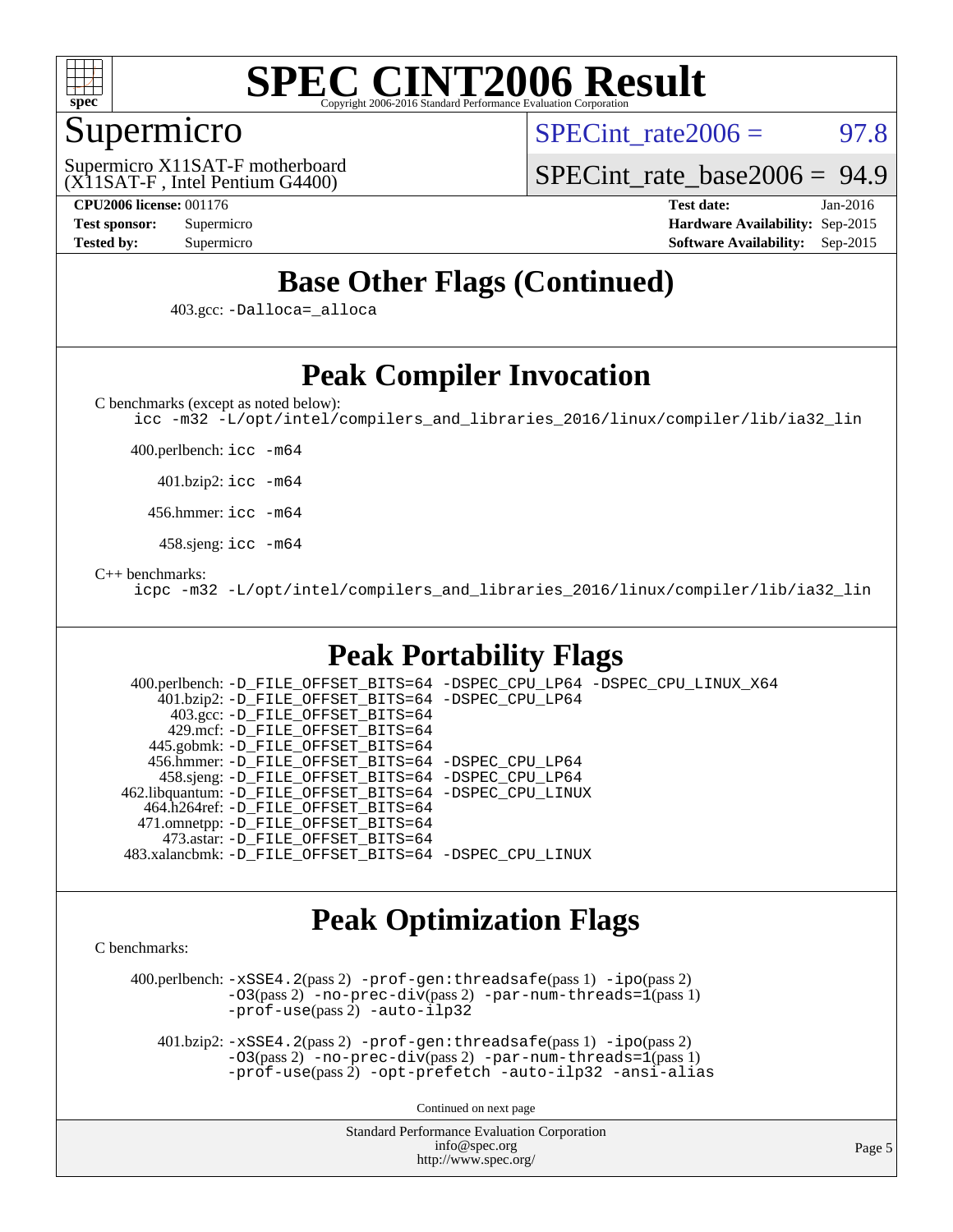

### Supermicro

 $SPECint rate2006 = 97.8$ 

(X11SAT-F , Intel Pentium G4400) Supermicro X11SAT-F motherboard [SPECint\\_rate\\_base2006 =](http://www.spec.org/auto/cpu2006/Docs/result-fields.html#SPECintratebase2006) 94.9

**[CPU2006 license:](http://www.spec.org/auto/cpu2006/Docs/result-fields.html#CPU2006license)** 001176 **[Test date:](http://www.spec.org/auto/cpu2006/Docs/result-fields.html#Testdate)** Jan-2016 **[Test sponsor:](http://www.spec.org/auto/cpu2006/Docs/result-fields.html#Testsponsor)** Supermicro **[Hardware Availability:](http://www.spec.org/auto/cpu2006/Docs/result-fields.html#HardwareAvailability)** Sep-2015 **[Tested by:](http://www.spec.org/auto/cpu2006/Docs/result-fields.html#Testedby)** Supermicro **[Software Availability:](http://www.spec.org/auto/cpu2006/Docs/result-fields.html#SoftwareAvailability)** Sep-2015

## **[Base Other Flags \(Continued\)](http://www.spec.org/auto/cpu2006/Docs/result-fields.html#BaseOtherFlags)**

403.gcc: [-Dalloca=\\_alloca](http://www.spec.org/cpu2006/results/res2016q1/cpu2006-20160125-38768.flags.html#b403.gcc_baseEXTRA_CFLAGS_Dalloca_be3056838c12de2578596ca5467af7f3)

### **[Peak Compiler Invocation](http://www.spec.org/auto/cpu2006/Docs/result-fields.html#PeakCompilerInvocation)**

[C benchmarks \(except as noted below\)](http://www.spec.org/auto/cpu2006/Docs/result-fields.html#Cbenchmarksexceptasnotedbelow):

[icc -m32 -L/opt/intel/compilers\\_and\\_libraries\\_2016/linux/compiler/lib/ia32\\_lin](http://www.spec.org/cpu2006/results/res2016q1/cpu2006-20160125-38768.flags.html#user_CCpeak_intel_icc_e10256ba5924b668798078a321b0cb3f)

400.perlbench: [icc -m64](http://www.spec.org/cpu2006/results/res2016q1/cpu2006-20160125-38768.flags.html#user_peakCCLD400_perlbench_intel_icc_64bit_bda6cc9af1fdbb0edc3795bac97ada53)

401.bzip2: [icc -m64](http://www.spec.org/cpu2006/results/res2016q1/cpu2006-20160125-38768.flags.html#user_peakCCLD401_bzip2_intel_icc_64bit_bda6cc9af1fdbb0edc3795bac97ada53)

456.hmmer: [icc -m64](http://www.spec.org/cpu2006/results/res2016q1/cpu2006-20160125-38768.flags.html#user_peakCCLD456_hmmer_intel_icc_64bit_bda6cc9af1fdbb0edc3795bac97ada53)

458.sjeng: [icc -m64](http://www.spec.org/cpu2006/results/res2016q1/cpu2006-20160125-38768.flags.html#user_peakCCLD458_sjeng_intel_icc_64bit_bda6cc9af1fdbb0edc3795bac97ada53)

#### [C++ benchmarks:](http://www.spec.org/auto/cpu2006/Docs/result-fields.html#CXXbenchmarks)

[icpc -m32 -L/opt/intel/compilers\\_and\\_libraries\\_2016/linux/compiler/lib/ia32\\_lin](http://www.spec.org/cpu2006/results/res2016q1/cpu2006-20160125-38768.flags.html#user_CXXpeak_intel_icpc_b4f50a394bdb4597aa5879c16bc3f5c5)

### **[Peak Portability Flags](http://www.spec.org/auto/cpu2006/Docs/result-fields.html#PeakPortabilityFlags)**

 400.perlbench: [-D\\_FILE\\_OFFSET\\_BITS=64](http://www.spec.org/cpu2006/results/res2016q1/cpu2006-20160125-38768.flags.html#user_peakPORTABILITY400_perlbench_file_offset_bits_64_438cf9856305ebd76870a2c6dc2689ab) [-DSPEC\\_CPU\\_LP64](http://www.spec.org/cpu2006/results/res2016q1/cpu2006-20160125-38768.flags.html#b400.perlbench_peakCPORTABILITY_DSPEC_CPU_LP64) [-DSPEC\\_CPU\\_LINUX\\_X64](http://www.spec.org/cpu2006/results/res2016q1/cpu2006-20160125-38768.flags.html#b400.perlbench_peakCPORTABILITY_DSPEC_CPU_LINUX_X64) 401.bzip2: [-D\\_FILE\\_OFFSET\\_BITS=64](http://www.spec.org/cpu2006/results/res2016q1/cpu2006-20160125-38768.flags.html#user_peakPORTABILITY401_bzip2_file_offset_bits_64_438cf9856305ebd76870a2c6dc2689ab) [-DSPEC\\_CPU\\_LP64](http://www.spec.org/cpu2006/results/res2016q1/cpu2006-20160125-38768.flags.html#suite_peakCPORTABILITY401_bzip2_DSPEC_CPU_LP64) 403.gcc: [-D\\_FILE\\_OFFSET\\_BITS=64](http://www.spec.org/cpu2006/results/res2016q1/cpu2006-20160125-38768.flags.html#user_peakPORTABILITY403_gcc_file_offset_bits_64_438cf9856305ebd76870a2c6dc2689ab) 429.mcf: [-D\\_FILE\\_OFFSET\\_BITS=64](http://www.spec.org/cpu2006/results/res2016q1/cpu2006-20160125-38768.flags.html#user_peakPORTABILITY429_mcf_file_offset_bits_64_438cf9856305ebd76870a2c6dc2689ab) 445.gobmk: [-D\\_FILE\\_OFFSET\\_BITS=64](http://www.spec.org/cpu2006/results/res2016q1/cpu2006-20160125-38768.flags.html#user_peakPORTABILITY445_gobmk_file_offset_bits_64_438cf9856305ebd76870a2c6dc2689ab) 456.hmmer: [-D\\_FILE\\_OFFSET\\_BITS=64](http://www.spec.org/cpu2006/results/res2016q1/cpu2006-20160125-38768.flags.html#user_peakPORTABILITY456_hmmer_file_offset_bits_64_438cf9856305ebd76870a2c6dc2689ab) [-DSPEC\\_CPU\\_LP64](http://www.spec.org/cpu2006/results/res2016q1/cpu2006-20160125-38768.flags.html#suite_peakCPORTABILITY456_hmmer_DSPEC_CPU_LP64) 458.sjeng: [-D\\_FILE\\_OFFSET\\_BITS=64](http://www.spec.org/cpu2006/results/res2016q1/cpu2006-20160125-38768.flags.html#user_peakPORTABILITY458_sjeng_file_offset_bits_64_438cf9856305ebd76870a2c6dc2689ab) [-DSPEC\\_CPU\\_LP64](http://www.spec.org/cpu2006/results/res2016q1/cpu2006-20160125-38768.flags.html#suite_peakCPORTABILITY458_sjeng_DSPEC_CPU_LP64) 462.libquantum: [-D\\_FILE\\_OFFSET\\_BITS=64](http://www.spec.org/cpu2006/results/res2016q1/cpu2006-20160125-38768.flags.html#user_peakPORTABILITY462_libquantum_file_offset_bits_64_438cf9856305ebd76870a2c6dc2689ab) [-DSPEC\\_CPU\\_LINUX](http://www.spec.org/cpu2006/results/res2016q1/cpu2006-20160125-38768.flags.html#b462.libquantum_peakCPORTABILITY_DSPEC_CPU_LINUX) 464.h264ref: [-D\\_FILE\\_OFFSET\\_BITS=64](http://www.spec.org/cpu2006/results/res2016q1/cpu2006-20160125-38768.flags.html#user_peakPORTABILITY464_h264ref_file_offset_bits_64_438cf9856305ebd76870a2c6dc2689ab) 471.omnetpp: [-D\\_FILE\\_OFFSET\\_BITS=64](http://www.spec.org/cpu2006/results/res2016q1/cpu2006-20160125-38768.flags.html#user_peakPORTABILITY471_omnetpp_file_offset_bits_64_438cf9856305ebd76870a2c6dc2689ab) 473.astar: [-D\\_FILE\\_OFFSET\\_BITS=64](http://www.spec.org/cpu2006/results/res2016q1/cpu2006-20160125-38768.flags.html#user_peakPORTABILITY473_astar_file_offset_bits_64_438cf9856305ebd76870a2c6dc2689ab) 483.xalancbmk: [-D\\_FILE\\_OFFSET\\_BITS=64](http://www.spec.org/cpu2006/results/res2016q1/cpu2006-20160125-38768.flags.html#user_peakPORTABILITY483_xalancbmk_file_offset_bits_64_438cf9856305ebd76870a2c6dc2689ab) [-DSPEC\\_CPU\\_LINUX](http://www.spec.org/cpu2006/results/res2016q1/cpu2006-20160125-38768.flags.html#b483.xalancbmk_peakCXXPORTABILITY_DSPEC_CPU_LINUX)

### **[Peak Optimization Flags](http://www.spec.org/auto/cpu2006/Docs/result-fields.html#PeakOptimizationFlags)**

[C benchmarks](http://www.spec.org/auto/cpu2006/Docs/result-fields.html#Cbenchmarks):

 400.perlbench: [-xSSE4.2](http://www.spec.org/cpu2006/results/res2016q1/cpu2006-20160125-38768.flags.html#user_peakPASS2_CFLAGSPASS2_LDCFLAGS400_perlbench_f-xSSE42_f91528193cf0b216347adb8b939d4107)(pass 2) [-prof-gen:threadsafe](http://www.spec.org/cpu2006/results/res2016q1/cpu2006-20160125-38768.flags.html#user_peakPASS1_CFLAGSPASS1_LDCFLAGS400_perlbench_prof_gen_21a26eb79f378b550acd7bec9fe4467a)(pass 1) [-ipo](http://www.spec.org/cpu2006/results/res2016q1/cpu2006-20160125-38768.flags.html#user_peakPASS2_CFLAGSPASS2_LDCFLAGS400_perlbench_f-ipo)(pass 2)  $-03(pass 2)$  [-no-prec-div](http://www.spec.org/cpu2006/results/res2016q1/cpu2006-20160125-38768.flags.html#user_peakPASS2_CFLAGSPASS2_LDCFLAGS400_perlbench_f-no-prec-div)(pass 2) [-par-num-threads=1](http://www.spec.org/cpu2006/results/res2016q1/cpu2006-20160125-38768.flags.html#user_peakPASS1_CFLAGSPASS1_LDCFLAGS400_perlbench_par_num_threads_786a6ff141b4e9e90432e998842df6c2)(pass 1) [-prof-use](http://www.spec.org/cpu2006/results/res2016q1/cpu2006-20160125-38768.flags.html#user_peakPASS2_CFLAGSPASS2_LDCFLAGS400_perlbench_prof_use_bccf7792157ff70d64e32fe3e1250b55)(pass 2) [-auto-ilp32](http://www.spec.org/cpu2006/results/res2016q1/cpu2006-20160125-38768.flags.html#user_peakCOPTIMIZE400_perlbench_f-auto-ilp32)

 401.bzip2: [-xSSE4.2](http://www.spec.org/cpu2006/results/res2016q1/cpu2006-20160125-38768.flags.html#user_peakPASS2_CFLAGSPASS2_LDCFLAGS401_bzip2_f-xSSE42_f91528193cf0b216347adb8b939d4107)(pass 2) [-prof-gen:threadsafe](http://www.spec.org/cpu2006/results/res2016q1/cpu2006-20160125-38768.flags.html#user_peakPASS1_CFLAGSPASS1_LDCFLAGS401_bzip2_prof_gen_21a26eb79f378b550acd7bec9fe4467a)(pass 1) [-ipo](http://www.spec.org/cpu2006/results/res2016q1/cpu2006-20160125-38768.flags.html#user_peakPASS2_CFLAGSPASS2_LDCFLAGS401_bzip2_f-ipo)(pass 2)  $-03(pass 2)$  [-no-prec-div](http://www.spec.org/cpu2006/results/res2016q1/cpu2006-20160125-38768.flags.html#user_peakPASS2_CFLAGSPASS2_LDCFLAGS401_bzip2_f-no-prec-div)(pass 2) [-par-num-threads=1](http://www.spec.org/cpu2006/results/res2016q1/cpu2006-20160125-38768.flags.html#user_peakPASS1_CFLAGSPASS1_LDCFLAGS401_bzip2_par_num_threads_786a6ff141b4e9e90432e998842df6c2)(pass 1) [-prof-use](http://www.spec.org/cpu2006/results/res2016q1/cpu2006-20160125-38768.flags.html#user_peakPASS2_CFLAGSPASS2_LDCFLAGS401_bzip2_prof_use_bccf7792157ff70d64e32fe3e1250b55)(pass 2) [-opt-prefetch](http://www.spec.org/cpu2006/results/res2016q1/cpu2006-20160125-38768.flags.html#user_peakCOPTIMIZE401_bzip2_f-opt-prefetch) [-auto-ilp32](http://www.spec.org/cpu2006/results/res2016q1/cpu2006-20160125-38768.flags.html#user_peakCOPTIMIZE401_bzip2_f-auto-ilp32) [-ansi-alias](http://www.spec.org/cpu2006/results/res2016q1/cpu2006-20160125-38768.flags.html#user_peakCOPTIMIZE401_bzip2_f-ansi-alias)

Continued on next page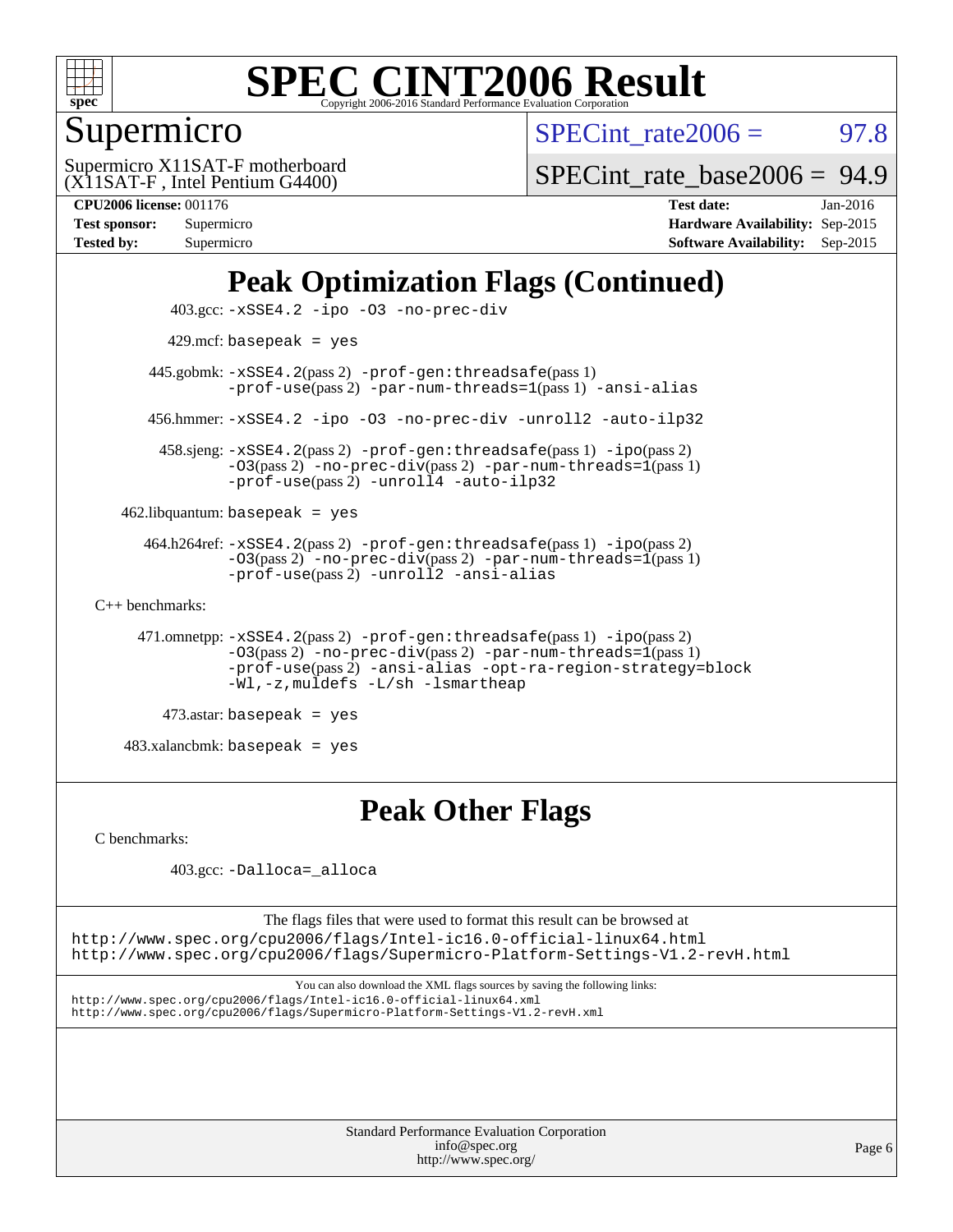

## Supermicro

 $SPECTnt_rate2006 = 97.8$ 

(X11SAT-F , Intel Pentium G4400) Supermicro X11SAT-F motherboard

[SPECint\\_rate\\_base2006 =](http://www.spec.org/auto/cpu2006/Docs/result-fields.html#SPECintratebase2006) 94.9

| <b>Test sponsor:</b> | Supermicro |
|----------------------|------------|
| <b>Tested by:</b>    | Supermicro |

**[CPU2006 license:](http://www.spec.org/auto/cpu2006/Docs/result-fields.html#CPU2006license)** 001176 **[Test date:](http://www.spec.org/auto/cpu2006/Docs/result-fields.html#Testdate)** Jan-2016 **[Hardware Availability:](http://www.spec.org/auto/cpu2006/Docs/result-fields.html#HardwareAvailability)** Sep-2015 **[Software Availability:](http://www.spec.org/auto/cpu2006/Docs/result-fields.html#SoftwareAvailability)** Sep-2015

## **[Peak Optimization Flags \(Continued\)](http://www.spec.org/auto/cpu2006/Docs/result-fields.html#PeakOptimizationFlags)**

```
 403.gcc: -xSSE4.2 -ipo -O3 -no-prec-div
         429.mcf: basepeak = yes
       445.gobmk: -xSSE4.2(pass 2) -prof-gen:threadsafe(pass 1)
                -prof-use(pass 2) -par-num-threads=1(pass 1) -ansi-alias
       456.hmmer: -xSSE4.2 -ipo -O3 -no-prec-div -unroll2 -auto-ilp32
        458.sjeng: -xSSE4.2(pass 2) -prof-gen:threadsafe(pass 1) -ipo(pass 2)
                -O3(pass 2) -no-prec-div(pass 2) -par-num-threads=1(pass 1)
                -prof-use-unroll4-auto-ilp32
    462.libquantum: basepeak = yes
      464.h264ref: -xSSE4.2(pass 2) -prof-gen:threadsafe(pass 1) -ipo(pass 2)
                -03(pass 2)-no-prec-div-par-num-threads=1(pass 1)
                -prof-use(pass 2) -unroll2 -ansi-alias
C++ benchmarks: 
      471.omnetpp: -xSSE4.2(pass 2) -prof-gen:threadsafe(pass 1) -ipo(pass 2)
                -O3(pass 2) -no-prec-div(pass 2) -par-num-threads=1(pass 1)
                -prof-use(pass 2) -ansi-alias -opt-ra-region-strategy=block
                -Wl,-z,muldefs -L/sh -lsmartheap
         473.astar: basepeak = yes
```
483.xalancbmk: basepeak = yes

### **[Peak Other Flags](http://www.spec.org/auto/cpu2006/Docs/result-fields.html#PeakOtherFlags)**

[C benchmarks](http://www.spec.org/auto/cpu2006/Docs/result-fields.html#Cbenchmarks):

403.gcc: [-Dalloca=\\_alloca](http://www.spec.org/cpu2006/results/res2016q1/cpu2006-20160125-38768.flags.html#b403.gcc_peakEXTRA_CFLAGS_Dalloca_be3056838c12de2578596ca5467af7f3)

The flags files that were used to format this result can be browsed at <http://www.spec.org/cpu2006/flags/Intel-ic16.0-official-linux64.html> <http://www.spec.org/cpu2006/flags/Supermicro-Platform-Settings-V1.2-revH.html>

You can also download the XML flags sources by saving the following links: <http://www.spec.org/cpu2006/flags/Intel-ic16.0-official-linux64.xml> <http://www.spec.org/cpu2006/flags/Supermicro-Platform-Settings-V1.2-revH.xml>